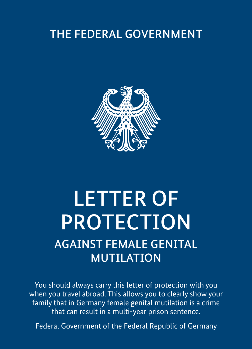# THE FEDERAL GOVERNMENT



# LETTER OF PROTECTION AGAINST FEMALE GENITAL MUTILATION

You should always carry this letter of protection with you when you travel abroad. This allows you to clearly show your family that in Germany female genital mutilation is a crime that can result in a multi-year prison sentence.

Federal Government of the Federal Republic of Germany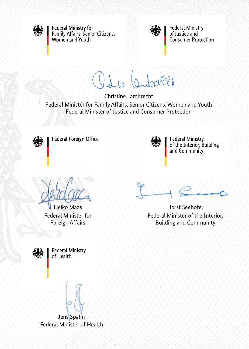

Federal Ministry for Family Affairs, Senior Citizens,<br>Women and Youth



**Federal Ministry** of lustice and **Consumer Protection** 

 $\frac{1}{2}$  $\mathbb{R}$ 

Christine Lambrecht

Federal Minister for Family Affairs, Senior Citizens, Women and Youth Federal Minister of Justice and Consumer Protection



Federal Foreign Office



Federal Ministry<br>of the Interior, Building<br>and Community

Heiko Maas Federal Minister for Foreign Affairs



Horst Seehofer Federal Minister of the Interior, Building and Community

**Federal Ministry** of Health

Jens Spahn Federal Minister of Health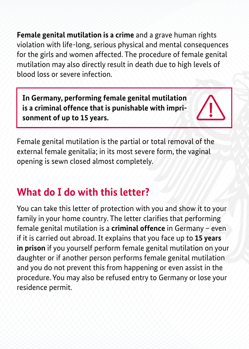Female genital mutilation is a crime and a grave human rights violation with life-long, serious physical and mental consequences for the girls and women affected. The procedure of female genital mutilation may also directly result in death due to high levels of blood loss or severe infection.

**In Germany, performing female genital mutilation is a criminal offence that is punishable with imprisonment of up to 15 years.**

Female genital mutilation is the partial or total removal of the external female genitalia; in its most severe form, the vaginal opening is sewn closed almost completely.

## **What do I do with this letter?**

You can take this letter of protection with you and show it to your family in your home country. The letter clarifies that performing female genital mutilation is a **criminal offence** in Germany – even if it is carried out abroad. It explains that you face up to **15 years in prison** if you yourself perform female genital mutilation on your daughter or if another person performs female genital mutilation and you do not prevent this from happening or even assist in the procedure. You may also be refused entry to Germany or lose your residence permit.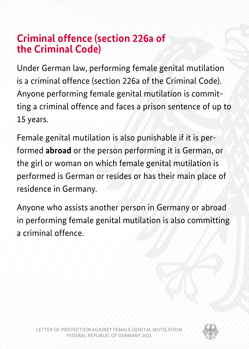## **Criminal offence (section 226a of the Criminal Code)**

Under German law, performing female genital mutilation is a criminal offence (section 226a of the Criminal Code). Anyone performing female genital mutilation is committing a criminal offence and faces a prison sentence of up to 15 years.

Female genital mutilation is also punishable if it is performed **abroad** or the person performing it is German, or the girl or woman on which female genital mutilation is performed is German or resides or has their main place of residence in Germany.

Anyone who assists another person in Germany or abroad in performing female genital mutilation is also committing a criminal offence.

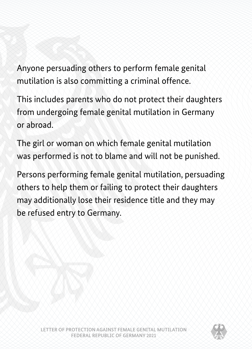Anyone persuading others to perform female genital mutilation is also committing a criminal offence.

This includes parents who do not protect their daughters from undergoing female genital mutilation in Germany or abroad.

The girl or woman on which female genital mutilation was performed is not to blame and will not be punished.

Persons performing female genital mutilation, persuading others to help them or failing to protect their daughters may additionally lose their residence title and they may be refused entry to Germany.

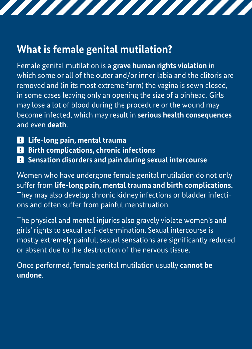## **What is female genital mutilation?**

Female genital mutilation is a **grave human rights violation** in which some or all of the outer and/or inner labia and the clitoris are removed and (in its most extreme form) the vagina is sewn closed, in some cases leaving only an opening the size of a pinhead. Girls may lose a lot of blood during the procedure or the wound may become infected, which may result in **serious health consequences**  and even **death**.

,,,,,,,,,,,,,,,,,,,

- ❕ **Life-long pain, mental trauma**
- $B$  Birth complications, chronic infections
- $\blacksquare$  Sensation disorders and pain during sexual intercourse

Women who have undergone female genital mutilation do not only suffer from **life-long pain, mental trauma and birth complications.** They may also develop chronic kidney infections or bladder infections and often suffer from painful menstruation.

The physical and mental injuries also gravely violate women's and girls' rights to sexual self-determination. Sexual intercourse is mostly extremely painful; sexual sensations are significantly reduced or absent due to the destruction of the nervous tissue.

Once performed, female genital mutilation usually **cannot be undone**.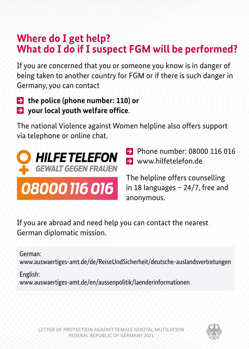## **Where do I get help? What do I do if I suspect FGM will be performed?**

If you are concerned that you or someone you know is in danger of being taken to another country for FGM or if there is such danger in Germany, you can contact

■ **the police (phone number: 110) or** 

<sup>→</sup> **your local youth welfare office**.

The national Violence against Women helpline also offers support via telephone or online chat.



08000 116 016

• Phone number: 08000 116 016  $\blacksquare$  [www.hilfetelefon.de](http://www.hilfetelefon.de)

The helpline offers counselling in 18 languages – 24/7, free and anonymous.

If you are abroad and need help you can contact the nearest German diplomatic mission.

#### German:

[www.auswaertiges-amt.de/de/ReiseUndSicherheit/deutsche-auslandsvertretungen](http://www.auswaertiges-amt.de/de/ReiseUndSicherheit/deutsche-auslandsvertretungen)

#### English:

[www.auswaertiges-amt.de/en/aussenpolitik/laenderinformationen](http://www.auswaertiges-amt.de/en/aussenpolitik/laenderinformationen)